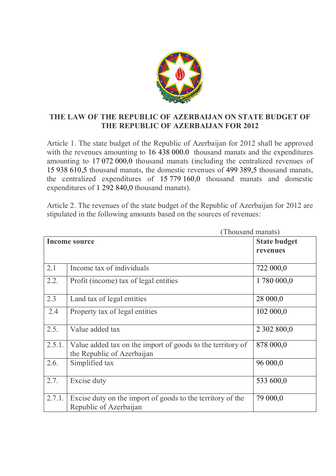

## **THE LAW OF THE REPUBLIC OF AZERBAIJAN ON STATE BUDGET OF THE REPUBLIC OF AZERBAIJAN FOR 2012**

Article 1. The state budget of the Republic of Azerbaijan for 2012 shall be approved with the revenues amounting to 16 438 000.0 thousand manats and the expenditures amounting to 17 072 000,0 thousand manats (including the centralized revenues of 15 938 610,5 thousand manats, the domestic revenues of 499 389,5 thousand manats, the centralized expenditures of 15 779 160,0 thousand manats and domestic expenditures of 1 292 840,0 thousand manats).

Article 2. The revenues of the state budget of the Republic of Azerbaijan for 2012 are stipulated in the following amounts based on the sources of revenues:

|                      | (Thousand manats)                                                                        |                                 |
|----------------------|------------------------------------------------------------------------------------------|---------------------------------|
| <b>Income source</b> |                                                                                          | <b>State budget</b><br>revenues |
| 2.1                  | Income tax of individuals                                                                | 722 000,0                       |
| 2.2.                 | Profit (income) tax of legal entities                                                    | 1 780 000,0                     |
| 2.3                  | Land tax of legal entities                                                               | 28 000,0                        |
| 2.4                  | Property tax of legal entities                                                           | 102 000,0                       |
| 2.5.                 | Value added tax                                                                          | 2 302 800,0                     |
| 2.5.1.               | Value added tax on the import of goods to the territory of<br>the Republic of Azerbaijan | 878 000,0                       |
| 2.6.                 | Simplified tax                                                                           | 96 000,0                        |
| 2.7.                 | Excise duty                                                                              | 533 600,0                       |
| 2.7.1.               | Excise duty on the import of goods to the territory of the<br>Republic of Azerbaijan     | 79 000,0                        |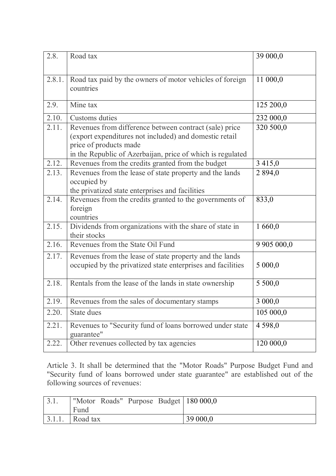| 2.8.   | Road tax                                                                                                                                                                                                 | 39 000,0    |
|--------|----------------------------------------------------------------------------------------------------------------------------------------------------------------------------------------------------------|-------------|
| 2.8.1. | Road tax paid by the owners of motor vehicles of foreign<br>countries                                                                                                                                    | 11 000,0    |
| 2.9.   | Mine tax                                                                                                                                                                                                 | 125 200,0   |
| 2.10.  | Customs duties                                                                                                                                                                                           | 232 000,0   |
| 2.11.  | Revenues from difference between contract (sale) price<br>(export expenditures not included) and domestic retail<br>price of products made<br>in the Republic of Azerbaijan, price of which is regulated | 320 500,0   |
| 2.12.  | Revenues from the credits granted from the budget                                                                                                                                                        | 3 4 1 5 , 0 |
| 2.13.  | Revenues from the lease of state property and the lands<br>occupied by<br>the privatized state enterprises and facilities                                                                                | 2 8 9 4 , 0 |
| 2.14.  | Revenues from the credits granted to the governments of<br>foreign<br>countries                                                                                                                          | 833,0       |
| 2.15.  | Dividends from organizations with the share of state in<br>their stocks                                                                                                                                  | 1 660,0     |
| 2.16.  | Revenues from the State Oil Fund                                                                                                                                                                         | 9 905 000,0 |
| 2.17.  | Revenues from the lease of state property and the lands<br>occupied by the privatized state enterprises and facilities                                                                                   | 5 000,0     |
| 2.18.  | Rentals from the lease of the lands in state ownership                                                                                                                                                   | 5 500,0     |
| 2.19.  | Revenues from the sales of documentary stamps                                                                                                                                                            | 3 000,0     |
| 2.20.  | State dues                                                                                                                                                                                               | 105 000,0   |
| 2.21.  | Revenues to "Security fund of loans borrowed under state<br>guarantee"                                                                                                                                   | 4 5 9 8 , 0 |
| 2.22.  | Other revenues collected by tax agencies                                                                                                                                                                 | 120 000,0   |

Article 3. It shall be determined that the "Motor Roads" Purpose Budget Fund and "Security fund of loans borrowed under state guarantee" are established out of the following sources of revenues:

| 3.1.   | "Motor Roads" Purpose Budget   180 000,0 |          |
|--------|------------------------------------------|----------|
|        | Fund                                     |          |
| 3.1.1. | Road tax                                 | 39 000,0 |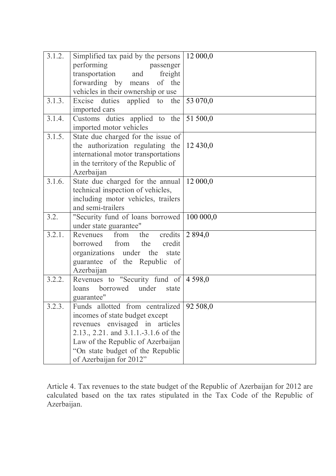| 3.1.2. | Simplified tax paid by the persons                      | 12 000,0    |
|--------|---------------------------------------------------------|-------------|
|        |                                                         |             |
|        | performing<br>passenger                                 |             |
|        | transportation and<br>freight                           |             |
|        | forwarding by means of the                              |             |
|        | vehicles in their ownership or use                      |             |
| 3.1.3. | Excise duties applied to the $\vert 53070,0 \rangle$    |             |
|        | imported cars                                           |             |
| 3.1.4. | Customs duties applied to the $\vert 51\,500,0 \rangle$ |             |
|        | imported motor vehicles                                 |             |
| 3.1.5. | State due charged for the issue of                      |             |
|        | the authorization regulating the                        | $12\,430,0$ |
|        | international motor transportations                     |             |
|        | in the territory of the Republic of                     |             |
|        | Azerbaijan                                              |             |
| 3.1.6. | State due charged for the annual                        | 12 000,0    |
|        | technical inspection of vehicles,                       |             |
|        | including motor vehicles, trailers                      |             |
|        | and semi-trailers                                       |             |
| 3.2.   |                                                         |             |
|        | "Security fund of loans borrowed   100 000,0"           |             |
|        | under state guarantee"                                  |             |
| 3.2.1. | Revenues from the<br>credits                            | 2 8 9 4 , 0 |
|        | borrowed from<br>the<br>credit                          |             |
|        | organizations under the<br>state                        |             |
|        | guarantee of the Republic of                            |             |
|        | Azerbaijan                                              |             |
| 3.2.2. | Revenues to "Security fund of $ 4598,0$                 |             |
|        | borrowed<br>under<br>loans<br>state                     |             |
|        | guarantee"                                              |             |
| 3.2.3. | Funds allotted from centralized                         | 92 508,0    |
|        | incomes of state budget except                          |             |
|        | revenues envisaged in<br>articles                       |             |
|        | 2.13., 2.21. and 3.1.1.-3.1.6 of the                    |             |
|        | Law of the Republic of Azerbaijan                       |             |
|        | "On state budget of the Republic                        |             |
|        |                                                         |             |
|        | of Azerbaijan for 2012"                                 |             |

Article 4. Tax revenues to the state budget of the Republic of Azerbaijan for 2012 are calculated based on the tax rates stipulated in the Tax Code of the Republic of Azerbaijan.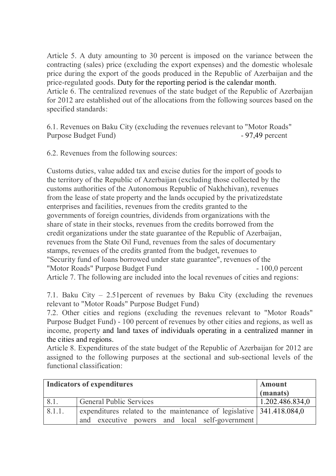Article 5. A duty amounting to 30 percent is imposed on the variance between the contracting (sales) price (excluding the export expenses) and the domestic wholesale price during the export of the goods produced in the Republic of Azerbaijan and the price-regulated goods. Duty for the reporting period is the calendar month. Article 6. The centralized revenues of the state budget of the Republic of Azerbaijan for 2012 are established out of the allocations from the following sources based on the specified standards:

6.1. Revenues on Baku City (excluding the revenues relevant to "Motor Roads" Purpose Budget Fund) - 97,49 percent

6.2. Revenues from the following sources:

Customs duties, value added tax and excise duties for the import of goods to the territory of the Republic of Azerbaijan (excluding those collected by the customs authorities of the Autonomous Republic of Nakhchivan), revenues from the lease of state property and the lands occupied by the privatizedstate enterprises and facilities, revenues from the credits granted to the governments of foreign countries, dividends from organizations with the share of state in their stocks, revenues from the credits borrowed from the credit organizations under the state guarantee of the Republic of Azerbaijan, revenues from the State Oil Fund, revenues from the sales of documentary stamps, revenues of the credits granted from the budget, revenues to "Security fund of loans borrowed under state guarantee", revenues of the "Motor Roads" Purpose Budget Fund - 100,0 percent Article 7. The following are included into the local revenues of cities and regions:

7.1. Baku City – 2.51percent of revenues by Baku City (excluding the revenues relevant to "Motor Roads" Purpose Budget Fund)

7.2. Other cities and regions (excluding the revenues relevant to "Motor Roads" Purpose Budget Fund) - 100 percent of revenues by other cities and regions, as well as income, property and land taxes of individuals operating in a centralized manner in the cities and regions.

Article 8. Expenditures of the state budget of the Republic of Azerbaijan for 2012 are assigned to the following purposes at the sectional and sub-sectional levels of the functional classification:

| Indicators of expenditures | <b>Amount</b>                                                        |                 |
|----------------------------|----------------------------------------------------------------------|-----------------|
|                            |                                                                      | (manats)        |
| 8.1                        | <b>General Public Services</b>                                       | 1.202.486.834,0 |
| $8.1.1$ .                  | expenditures related to the maintenance of legislative 341.418.084,0 |                 |
|                            | and executive powers and local self-government                       |                 |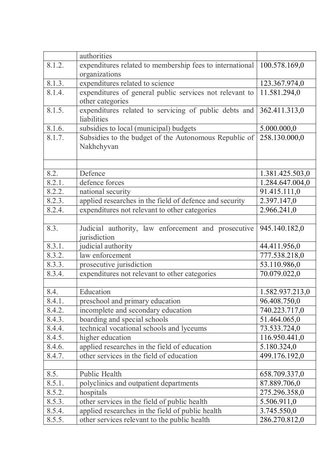|        | authorities                                              |                 |
|--------|----------------------------------------------------------|-----------------|
| 8.1.2. | expenditures related to membership fees to international | 100.578.169,0   |
|        | organizations                                            |                 |
| 8.1.3. | expenditures related to science                          | 123.367.974,0   |
| 8.1.4. | expenditures of general public services not relevant to  | 11.581.294,0    |
|        | other categories                                         |                 |
| 8.1.5. | expenditures related to servicing of public debts and    | 362.411.313,0   |
|        | liabilities                                              |                 |
| 8.1.6. | subsidies to local (municipal) budgets                   | 5.000.000,0     |
| 8.1.7. | Subsidies to the budget of the Autonomous Republic of    | 258.130.000,0   |
|        | Nakhchyvan                                               |                 |
|        |                                                          |                 |
|        |                                                          |                 |
| 8.2.   | Defence                                                  | 1.381.425.503,0 |
| 8.2.1. | defence forces                                           | 1.284.647.004,0 |
| 8.2.2. | national security                                        | 91.415.111,0    |
| 8.2.3. | applied researches in the field of defence and security  | 2.397.147,0     |
| 8.2.4. | expenditures not relevant to other categories            | 2.966.241,0     |
|        |                                                          |                 |
| 8.3.   | Judicial authority, law enforcement and prosecutive      | 945.140.182,0   |
|        | jurisdiction                                             |                 |
| 8.3.1. | judicial authority                                       | 44.411.956,0    |
| 8.3.2. | law enforcement                                          | 777.538.218,0   |
| 8.3.3. | prosecutive jurisdiction                                 | 53.110.986,0    |
| 8.3.4. | expenditures not relevant to other categories            | 70.079.022,0    |
|        |                                                          |                 |
| 8.4.   | Education                                                | 1.582.937.213,0 |
| 8.4.1. | preschool and primary education                          | 96.408.750,0    |
| 8.4.2. | incomplete and secondary education                       | 740.223.717,0   |
| 8.4.3. | boarding and special schools                             | 51.464.065,0    |
| 8.4.4. | technical vocational schools and lyceums                 | 73.533.724,0    |
| 8.4.5. | higher education                                         | 116.950.441,0   |
| 8.4.6. | applied researches in the field of education             | 5.180.324,0     |
| 8.4.7. | other services in the field of education                 | 499.176.192,0   |
|        |                                                          |                 |
| 8.5.   | Public Health                                            | 658.709.337,0   |
| 8.5.1. | polyclinics and outpatient departments                   | 87.889.706,0    |
| 8.5.2. | hospitals                                                | 275.296.358,0   |
| 8.5.3. | other services in the field of public health             | 5.506.911,0     |
| 8.5.4. | applied researches in the field of public health         | 3.745.550,0     |
| 8.5.5. | other services relevant to the public health             | 286.270.812,0   |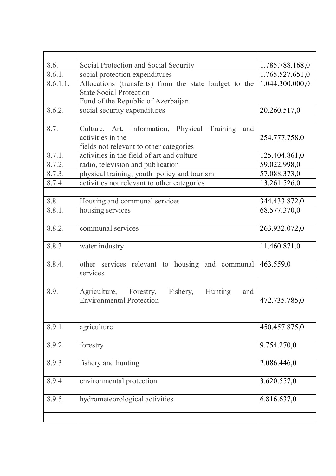| 8.6.     | Social Protection and Social Security                 | 1.785.788.168,0 |
|----------|-------------------------------------------------------|-----------------|
| 8.6.1.   | social protection expenditures                        | 1.765.527.651,0 |
| 8.6.1.1. | Allocations (transferts) from the state budget to the | 1.044.300.000,0 |
|          | <b>State Social Protection</b>                        |                 |
|          | Fund of the Republic of Azerbaijan                    |                 |
| 8.6.2.   | social security expenditures                          | 20.260.517,0    |
|          |                                                       |                 |
| 8.7.     | Culture, Art, Information, Physical Training<br>and   |                 |
|          | activities in the                                     | 254.777.758,0   |
|          | fields not relevant to other categories               |                 |
| 8.7.1.   | activities in the field of art and culture            | 125.404.861,0   |
| 8.7.2.   | radio, television and publication                     | 59.022.998,0    |
| 8.7.3.   | physical training, youth policy and tourism           | 57.088.373,0    |
| 8.7.4.   | activities not relevant to other categories           | 13.261.526,0    |
|          |                                                       |                 |
| 8.8.     | Housing and communal services                         | 344.433.872,0   |
| 8.8.1.   | housing services                                      | 68.577.370,0    |
|          |                                                       |                 |
| 8.8.2.   | communal services                                     | 263.932.072,0   |
|          |                                                       |                 |
| 8.8.3.   | water industry                                        | 11.460.871,0    |
|          |                                                       |                 |
| 8.8.4.   | other services relevant to housing and communal       | 463.559,0       |
|          | services                                              |                 |
|          |                                                       |                 |
| 8.9.     | Agriculture, Forestry,<br>Hunting<br>Fishery,<br>and  |                 |
|          | <b>Environmental Protection</b>                       | 472.735.785,0   |
|          |                                                       |                 |
|          |                                                       |                 |
| 8.9.1.   | agriculture                                           | 450.457.875,0   |
|          |                                                       |                 |
| 8.9.2.   | forestry                                              | 9.754.270,0     |
|          |                                                       |                 |
| 8.9.3.   | fishery and hunting                                   | 2.086.446,0     |
|          |                                                       |                 |
| 8.9.4.   | environmental protection                              | 3.620.557,0     |
|          |                                                       |                 |
| 8.9.5.   | hydrometeorological activities                        | 6.816.637,0     |
|          |                                                       |                 |
|          |                                                       |                 |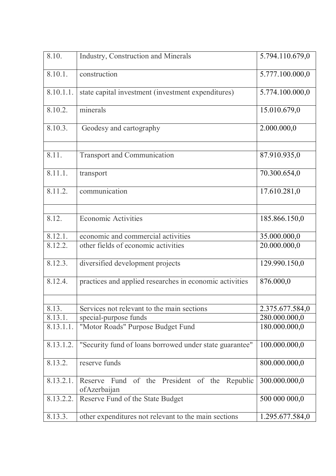| 8.10.            | Industry, Construction and Minerals                                    | 5.794.110.679,0                  |
|------------------|------------------------------------------------------------------------|----------------------------------|
| 8.10.1.          | construction                                                           | 5.777.100.000,0                  |
| 8.10.1.1.        | state capital investment (investment expenditures)                     | 5.774.100.000,0                  |
| 8.10.2.          | minerals                                                               | 15.010.679,0                     |
| 8.10.3.          | Geodesy and cartography                                                | 2.000.000,0                      |
| 8.11.            | <b>Transport and Communication</b>                                     | 87.910.935,0                     |
| 8.11.1.          | transport                                                              | 70.300.654,0                     |
| 8.11.2.          | communication                                                          | 17.610.281,0                     |
|                  |                                                                        |                                  |
| 8.12.            | <b>Economic Activities</b>                                             | 185.866.150,0                    |
| 8.12.1.          | economic and commercial activities                                     | 35.000.000,0                     |
| 8.12.2.          | other fields of economic activities                                    | 20.000.000,0                     |
| 8.12.3.          | diversified development projects                                       | 129.990.150,0                    |
| 8.12.4.          | practices and applied researches in economic activities                | 876.000,0                        |
|                  |                                                                        |                                  |
| 8.13.<br>8.13.1. | Services not relevant to the main sections                             | 2.375.677.584,0<br>280.000.000,0 |
| 8.13.1.1.        | special-purpose funds<br>"Motor Roads" Purpose Budget Fund             | 180.000.000,0                    |
| 8.13.1.2.        | "Security fund of loans borrowed under state guarantee"                | 100.000.000,0                    |
| 8.13.2.          | reserve funds                                                          | 800.000.000,0                    |
| 8.13.2.1.        | of the President of the<br>Fund<br>Republic<br>Reserve<br>ofAzerbaijan | 300.000.000,0                    |
| 8.13.2.2.        | Reserve Fund of the State Budget                                       | 500 000 000,0                    |
| 8.13.3.          | other expenditures not relevant to the main sections                   | 1.295.677.584,0                  |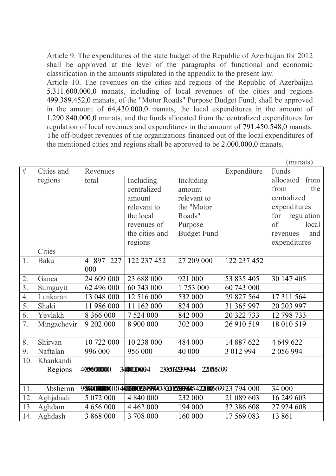Article 9. The expenditures of the state budget of the Republic of Azerbaijan for 2012 shall be approved at the level of the paragraphs of functional and economic classification in the amounts stipulated in the appendix to the present law.

Article 10. The revenues on the cities and regions of the Republic of Azerbaijan 5.311.600.000,0 manats, including of local revenues of the cities and regions 499.389.452,0 manats, of the "Motor Roads" Purpose Budget Fund, shall be approved in the amount of 64.430.000,0 manats, the local expenditures in the amount of 1.290.840.000,0 manats, and the funds allocated from the centralized expenditures for regulation of local revenues and expenditures in the amount of 791.450.548,0 manats. The off-budget revenues of the organizations financed out of the local expenditures of the mentioned cities and regions shall be approved to be 2.000.000,0 manats.

(manats)

| $\#$             |             |            |                                                           |                          |             | (Indiaco)         |
|------------------|-------------|------------|-----------------------------------------------------------|--------------------------|-------------|-------------------|
|                  | Cities and  | Revenues   |                                                           |                          | Expenditure | Funds             |
|                  | regions     | total      | Including                                                 | Including                |             | allocated from    |
|                  |             |            | centralized                                               | amount                   |             | the<br>from       |
|                  |             |            | amount                                                    | relevant to              |             | centralized       |
|                  |             |            | relevant to                                               | the "Motor               |             | expenditures      |
|                  |             |            | the local                                                 | Roads"                   |             | for regulation    |
|                  |             |            | revenues of                                               | Purpose                  |             | $\sigma$<br>local |
|                  |             |            | the cities and                                            | <b>Budget Fund</b>       |             | and<br>revenues   |
|                  |             |            | regions                                                   |                          |             | expenditures      |
|                  | Cities      |            |                                                           |                          |             |                   |
| 1.               | Baku        | 4 897 227  | 122 237 452                                               | 27 209 000               | 122 237 452 |                   |
|                  |             | 000        |                                                           |                          |             |                   |
| 2.               | Ganca       | 24 609 000 | 23 688 000                                                | 921 000                  | 53 835 405  | 30 147 405        |
| $\overline{3}$ . | Sumgayit    | 62 496 000 | 60 743 000                                                | 1753 000                 | 60 743 000  |                   |
| $\overline{4}$ . | Lankaran    | 13 048 000 | 12 516 000                                                | 532 000                  | 29 827 564  | 17 311 564        |
| 5.               | Shaki       | 11 986 000 | 11 162 000                                                | 824 000                  | 31 365 997  | 20 203 997        |
| 6.               | Yevlakh     | 8 366 000  | 7 524 000                                                 | 842 000                  | 20 322 733  | 12 798 733        |
| 7.               | Mingachevir | 9 202 000  | 8 900 000                                                 | 302 000                  | 26 910 519  | 18 010 519        |
|                  |             |            |                                                           |                          |             |                   |
| 8.               | Shirvan     | 10 722 000 | 10 238 000                                                | 484 000                  | 14 887 622  | 4 649 622         |
| 9.               | Naftalan    | 996 000    | 956 000                                                   | 40 000                   | 3 012 994   | 2 056 994         |
| 10.              | Khankandi   |            |                                                           |                          |             |                   |
|                  | Regions     | 4996600000 | 340000004                                                 | 230000299944<br>22055699 |             |                   |
|                  |             |            |                                                           |                          |             |                   |
| 11.              | Absheron    |            | 933300000000040550000249994033000059994542006669923794000 |                          |             | 34 000            |
| 12.              | Aghjabadi   | 5 072 000  | 4 840 000                                                 | 232 000                  | 21 089 603  | 16 249 603        |
| 13.              | Aghdam      | 4 656 000  | 4 4 6 2 0 0 0                                             | 194 000                  | 32 386 608  | 27 924 608        |
| 14.              | Aghdash     | 3 868 000  | 3708 000                                                  | 160 000                  | 17 569 083  | 13 861            |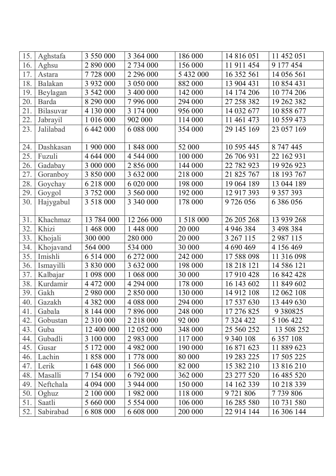|     | 15. Aghstafa | 3 550 000     | 3 3 6 4 0 0 0 | 186 000       | 14 816 051    | 11 452 051    |
|-----|--------------|---------------|---------------|---------------|---------------|---------------|
| 16. | Aghsu        | 2 890 000     | 2 734 000     | 156 000       | 11 911 454    | 9 177 454     |
| 17. | Astara       | 7728 000      | 2 296 000     | 5 432 000     | 16 352 561    | 14 056 561    |
| 18. | Balakan      | 3 932 000     | 3 050 000     | 882 000       | 13 904 431    | 10 854 431    |
| 19. | Beylagan     | 3 542 000     | 3 400 000     | 142 000       | 14 174 206    | 10 774 206    |
| 20. | Barda        | 8 290 000     | 7996000       | 294 000       | 27 258 382    | 19 262 382    |
| 21. | Bilasuvar    | 4 130 000     | 3 174 000     | 956 000       | 14 032 677    | 10 858 677    |
| 22. | Jabrayil     | 1 016 000     | 902 000       | 114 000       | 11 461 473    | 10 559 473    |
| 23. | Jalilabad    | 6 442 000     | 6 088 000     | 354 000       | 29 145 169    | 23 057 169    |
|     |              |               |               |               |               |               |
| 24. | Dashkasan    | 1 900 000     | 1 848 000     | 52 000        | 10 595 445    | 8 747 445     |
| 25. | Fuzuli       | 4 644 000     | 4 544 000     | 100 000       | 26 706 931    | 22 162 931    |
| 26. | Gadabay      | 3 000 000     | 2 856 000     | 144 000       | 22 782 923    | 19 926 923    |
| 27. | Goranboy     | 3 850 000     | 3 632 000     | 218 000       | 21 825 767    | 18 193 767    |
| 28. | Goychay      | 6 218 000     | 6 0 20 0 00   | 198 000       | 19 064 189    | 13 044 189    |
| 29. | Goygol       | 3 752 000     | 3 560 000     | 192 000       | 12 917 393    | 9 357 393     |
| 30. | Hajygabul    | 3 518 000     | 3 340 000     | 178 000       | 9726056       | 6 38 6 05 6   |
|     |              |               |               |               |               |               |
| 31. | Khachmaz     | 13 784 000    | 12 266 000    | 1 5 1 8 0 0 0 | 26 205 268    | 13 939 268    |
| 32. | Khizi        | 1 468 000     | 1 448 000     | 20 000        | 4 9 4 6 3 8 4 | 3 498 384     |
|     |              |               |               |               |               |               |
| 33. | Khojali      | 300 000       | 280 000       | 20 000        | 3 267 115     | 2987115       |
| 34. | Khojavand    | 564 000       | 534 000       | 30 000        | 4 690 469     | 4 156 469     |
| 35. | Imishli      | 6 5 14 0 00   | 6 272 000     | 242 000       | 17 588 098    | 11 316 098    |
| 36. | Ismayilli    | 3 830 000     | 3 632 000     | 198 000       | 18 218 121    | 14 586 121    |
| 37. | Kalbajar     | 1 098 000     | 1 068 000     | 30 000        | 17 910 428    | 16 842 428    |
| 38. | Kurdamir     | 4 472 000     | 4 294 000     | 178 000       | 16 143 602    | 11 849 602    |
| 39. | Gakh         | 2 980 000     | 2 850 000     | 130 000       | 14 912 108    | 12 062 108    |
| 40. | Gazakh       | 4 3 8 2 0 0 0 | 4 088 000     | 294 000       | 17 537 630    | 13 449 630    |
| 41. | Gabala       | 8 144 000     | 7896000       | 248 000       | 17 276 825    | 9 3 8 0 8 2 5 |
| 42. | Gobustan     | 2 310 000     | 2 2 1 8 0 0 0 | 92 000        | 7 3 24 4 22   | 5 106 422     |
| 43. | Guba         | 12 400 000    | 12 052 000    | 348 000       | 25 560 252    | 13 508 252    |
| 44. | Gubadli      | 3 100 000     | 2 983 000     | 117 000       | 9 340 108     | 6 3 5 7 1 0 8 |
| 45. | Gusar        | 5 172 000     | 4 9 8 2 0 0 0 | 190 000       | 16 871 623    | 11 889 623    |
| 46. | Lachin       | 1858000       | 1778 000      | 80 000        | 19 283 225    | 17 505 225    |
| 47. | Lerik        | 1 648 000     | 1 566 000     | 82 000        | 15 382 210    | 13 816 210    |
| 48. | Masalli      | 7 154 000     | 6792000       | 362 000       | 23 277 520    | 16 485 520    |
| 49. | Neftchala    | 4 094 000     | 3 944 000     | 150 000       | 14 162 339    | 10 218 339    |
| 50. | Oghuz        | 2 100 000     | 1982000       | 118 000       | 9721806       | 7739806       |
| 51. | Saatli       | 5 660 000     | 5 5 5 4 0 0 0 | 106 000       | 16 285 580    | 10 731 580    |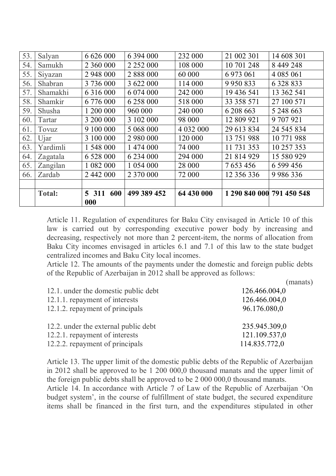|     |               | 000                          |               |            |                           |             |
|-----|---------------|------------------------------|---------------|------------|---------------------------|-------------|
|     | <b>Total:</b> | 311<br>600<br>$\overline{5}$ | 499 389 452   | 64 430 000 | 1 290 840 000 791 450 548 |             |
|     |               |                              |               |            |                           |             |
| 66. | Zardab        | 2 442 000                    | 2 370 000     | 72 000     | 12 356 336                | 9986336     |
| 65. | Zangilan      | 1 082 000                    | 1 0 5 4 0 0 0 | 28 000     | 7 6 5 3 4 5 6             | 6 599 456   |
| 64. | Zagatala      | 6 528 000                    | 6 2 3 4 0 0 0 | 294 000    | 21 814 929                | 15 580 929  |
| 63. | Yardimli      | 1 548 000                    | 1 474 000     | 74 000     | 11 731 353                | 10 257 353  |
| 62. | <b>U</b> jar  | 3 100 000                    | 2 980 000     | 120 000    | 13 751 988                | 10 771 988  |
| 61. | Tovuz         | 9 100 000                    | 5 068 000     | 4 032 000  | 29 613 834                | 24 545 834  |
| 60. | Tartar        | 3 200 000                    | 3 102 000     | 98 000     | 12 809 921                | 9 707 921   |
| 59. | Shusha        | 1 200 000                    | 960 000       | 240 000    | 6 208 663                 | 5 248 663   |
| 58. | Shamkir       | 6 776 000                    | 6 258 000     | 518 000    | 33 358 571                | 27 100 571  |
| 57. | Shamakhi      | 6 3 1 6 0 0 0                | 6 0 74 0 00   | 242 000    | 19 436 541                | 13 362 541  |
| 56. | Shabran       | 3 736 000                    | 3 622 000     | 114 000    | 9 9 5 0 8 3 3             | 6 3 28 8 33 |
| 55. | Siyazan       | 2 948 000                    | 2 888 000     | 60 000     | 6 9 73 0 61               | 4 085 061   |
| 54. | Samukh        | 2 360 000                    | 2 2 5 2 0 0 0 | 108 000    | 10 701 248                | 8 449 248   |
| 53. | Salyan        | 6 6 2 6 0 0 0                | 6 3 9 4 0 0 0 | 232 000    | 21 002 301                | 14 608 301  |

Article 11. Regulation of expenditures for Baku City envisaged in Article 10 of this law is carried out by corresponding executive power body by increasing and decreasing, respectively not more than 2 percent-item, the norms of allocation from Baku City incomes envisaged in articles 6.1 and 7.1 of this law to the state budget centralized incomes and Baku City local incomes.

Article 12. The amounts of the payments under the domestic and foreign public debts of the Republic of Azerbaijan in 2012 shall be approved as follows:

|                                      | (manats)      |  |
|--------------------------------------|---------------|--|
| 12.1. under the domestic public debt | 126.466.004,0 |  |
| 12.1.1. repayment of interests       | 126.466.004,0 |  |
| 12.1.2. repayment of principals      | 96.176.080,0  |  |
| 12.2. under the external public debt | 235.945.309,0 |  |
| 12.2.1. repayment of interests       | 121.109.537,0 |  |
| 12.2.2. repayment of principals      | 114.835.772,0 |  |
|                                      |               |  |

Article 13. The upper limit of the domestic public debts of the Republic of Azerbaijan in 2012 shall be approved to be 1 200 000,0 thousand manats and the upper limit of the foreign public debts shall be approved to be 2 000 000,0 thousand manats.

Article 14. In accordance with Article 7 of Law of the Republic of Azerbaijan 'On budget system', in the course of fulfillment of state budget, the secured expenditure items shall be financed in the first turn, and the expenditures stipulated in other